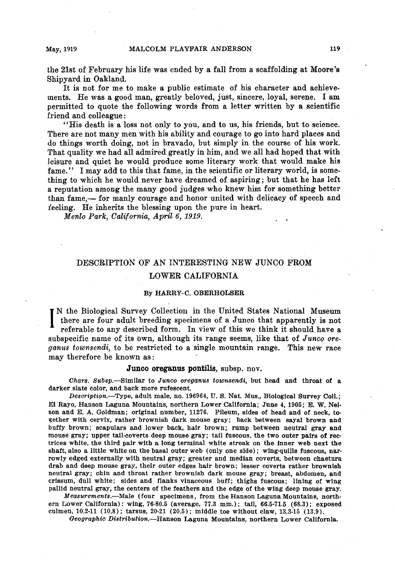**the 21st of February his life was ended by a fall from a scaffolding at Moores ' Shipyard in Oakland.** 

**It is not for me to make a public estimate of his character and achievements. He was a good man, greatly beloved, just, sincere, loyal, serene. I am permitted to quote the following words from a letter written by a scientific friend and colleague :** 

**"His death is a loss not only to you, and to us, his friends, but to science. There are not many men with his ability and courage to go into hard places and do things worth doing, not in bravado, but simply in the course of his work. That quality we had all admired greatly in him, and we all had hoped that with leisure and quiet he would produce some literary work that would make his fame." I may add to this that fame, in the scientific or literary world, is something to which he would never have dreamed of aspiring ; but that he has left a reputation among the many good judges who knew him for something better**  than fame,— for manly courage and honor united with delicacy of speech and **ieeling. He inherits the blessing upon the pure in heart.** 

**Menlo Park, California, April 6, 1919.** 

## **DESCRIPTION OF AN INTERESTING NEW JUNCO FROM LOWER CALIFORNIA**

## **By HARRY-C. OBERHOLSER**

I <sup>N</sup> the Biological Survey Collection in the United States National Museum there are four adult breeding specimens of a Junco that apparently is not referable to any described form. In view of this we think it should have **there are four adult breeding specimens of a Junco that apparently is not referable to any described form. In view of this we think it should have a**  subspecific name of its own, although its range seems, like that of *Junco ore***yams townsedi, to be restricted to a single mountain range. This new race may therefore be known as:** 

## **Junco oreganus pontilis, subsp. nov.**

**Chars. Bubsp.-Similar to Junco oreganus townsendi, but head and throat of a darker slate color, and back more rufescent.** 

**Description.-Type, adult male, no. 196964, U. S. Nat. Mus., Biological Survey Coll.; El Rayo, Hanson Laguna Mountains, northern Lower California; June 4, 1905; E. W. Nelson and E. A. Goldman; original number, 11276. Pileum, sides of head and of neck, together with cervix, rather brownish dark mouse gray; back between sayal brown and buffy brown; scapulars and lower back, hair brown; rump between neutral gray and mouse gray; upper tail-coverts deep mouse gray; tail fuscous, the two outer pairs of rectrices white, the third pair with a long terminal white streak on the inner web next the shaft, also a little white on the basal outer web (only one side) ; wing-quills fuscous, narrowly edged externally with neutral gray; greater and median coverts, between chaetura drab and deep mouse gray, their outer edges hair brown; lesser coverts rather brownish neutral gray; chin and throat rather brownish dark mouse gray; breast, abdomen, and crissum, dull white; sides and flanks vinaceous buff; thighs fuscous; lining of wing pallid neutral gray, the centers of the feathers and the edge of the wing deep mouse gray.** 

**Measurements.-Male (four specimens, from the Hanson Laguna Mountains, north**ern Lower California): wing, 76-80.5 (average, 77.3 mm.); tail, 66.5-71.5 (68.3); exposed **culmen, 10.2-11 (10.8) ; tarsus, 20-21 (20.5) ; middle toe without claw, 13.3-15 (13.9).** 

**Geographic Distribution.-Hanson Laguna Mountains, northern Lower California.** 

**, .**